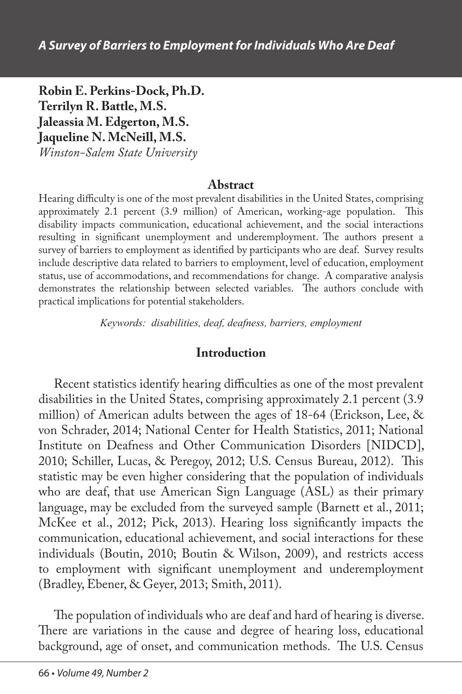**Robin E. Perkins-Dock, Ph.D. Terrilyn R. Battle, M.S. Jaleassia M. Edgerton, M.S. Jaqueline N. McNeill, M.S.** *Winston-Salem State University*

#### **Abstract**

Hearing difficulty is one of the most prevalent disabilities in the United States, comprising approximately 2.1 percent (3.9 million) of American, working-age population. This disability impacts communication, educational achievement, and the social interactions resulting in significant unemployment and underemployment. The authors present a survey of barriers to employment as identified by participants who are deaf. Survey results include descriptive data related to barriers to employment, level of education, employment status, use of accommodations, and recommendations for change. A comparative analysis demonstrates the relationship between selected variables. The authors conclude with practical implications for potential stakeholders.

*Keywords: disabilities, deaf, deafness, barriers, employment*

#### **Introduction**

Recent statistics identify hearing difficulties as one of the most prevalent disabilities in the United States, comprising approximately 2.1 percent (3.9 million) of American adults between the ages of 18-64 (Erickson, Lee, & von Schrader, 2014; National Center for Health Statistics, 2011; National Institute on Deafness and Other Communication Disorders [NIDCD], 2010; Schiller, Lucas, & Peregoy, 2012; U.S. Census Bureau, 2012). This statistic may be even higher considering that the population of individuals who are deaf, that use American Sign Language (ASL) as their primary language, may be excluded from the surveyed sample (Barnett et al., 2011; McKee et al., 2012; Pick, 2013). Hearing loss significantly impacts the communication, educational achievement, and social interactions for these individuals (Boutin, 2010; Boutin & Wilson, 2009), and restricts access to employment with significant unemployment and underemployment (Bradley, Ebener, & Geyer, 2013; Smith, 2011).

The population of individuals who are deaf and hard of hearing is diverse. There are variations in the cause and degree of hearing loss, educational background, age of onset, and communication methods. The U.S. Census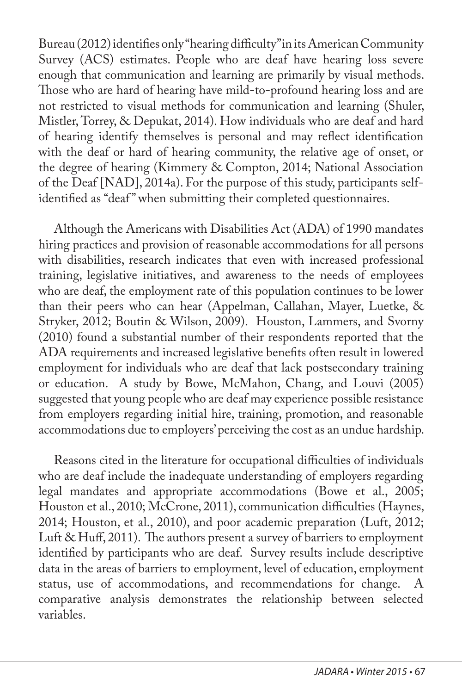Bureau (2012) identifies only "hearing difficulty" in its American Community Survey (ACS) estimates. People who are deaf have hearing loss severe enough that communication and learning are primarily by visual methods. Those who are hard of hearing have mild-to-profound hearing loss and are not restricted to visual methods for communication and learning (Shuler, Mistler, Torrey, & Depukat, 2014). How individuals who are deaf and hard of hearing identify themselves is personal and may reflect identification with the deaf or hard of hearing community, the relative age of onset, or the degree of hearing (Kimmery & Compton, 2014; National Association of the Deaf [NAD], 2014a). For the purpose of this study, participants selfidentified as "deaf" when submitting their completed questionnaires.

Although the Americans with Disabilities Act (ADA) of 1990 mandates hiring practices and provision of reasonable accommodations for all persons with disabilities, research indicates that even with increased professional training, legislative initiatives, and awareness to the needs of employees who are deaf, the employment rate of this population continues to be lower than their peers who can hear (Appelman, Callahan, Mayer, Luetke, & Stryker, 2012; Boutin & Wilson, 2009). Houston, Lammers, and Svorny (2010) found a substantial number of their respondents reported that the ADA requirements and increased legislative benefits often result in lowered employment for individuals who are deaf that lack postsecondary training or education. A study by Bowe, McMahon, Chang, and Louvi (2005) suggested that young people who are deaf may experience possible resistance from employers regarding initial hire, training, promotion, and reasonable accommodations due to employers' perceiving the cost as an undue hardship.

Reasons cited in the literature for occupational difficulties of individuals who are deaf include the inadequate understanding of employers regarding legal mandates and appropriate accommodations (Bowe et al., 2005; Houston et al., 2010; McCrone, 2011), communication difficulties (Haynes, 2014; Houston, et al., 2010), and poor academic preparation (Luft, 2012; Luft & Huff, 2011). The authors present a survey of barriers to employment identified by participants who are deaf. Survey results include descriptive data in the areas of barriers to employment, level of education, employment status, use of accommodations, and recommendations for change. A comparative analysis demonstrates the relationship between selected variables.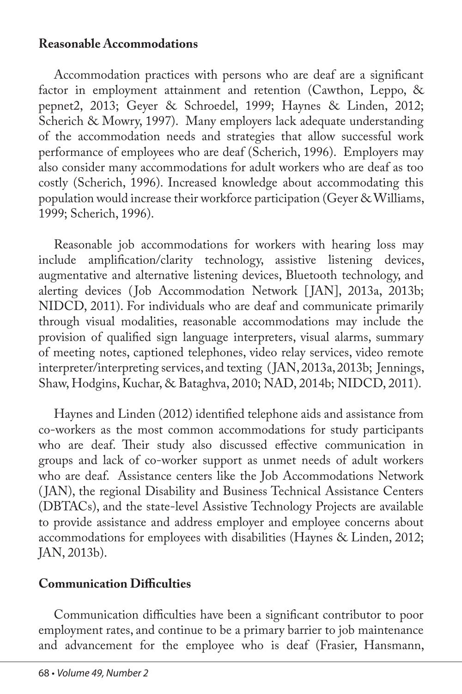### **Reasonable Accommodations**

Accommodation practices with persons who are deaf are a significant factor in employment attainment and retention (Cawthon, Leppo, & pepnet2, 2013; Geyer & Schroedel, 1999; Haynes & Linden, 2012; Scherich & Mowry, 1997). Many employers lack adequate understanding of the accommodation needs and strategies that allow successful work performance of employees who are deaf (Scherich, 1996). Employers may also consider many accommodations for adult workers who are deaf as too costly (Scherich, 1996). Increased knowledge about accommodating this population would increase their workforce participation (Geyer & Williams, 1999; Scherich, 1996).

Reasonable job accommodations for workers with hearing loss may include amplification/clarity technology, assistive listening devices, augmentative and alternative listening devices, Bluetooth technology, and alerting devices (Job Accommodation Network [JAN], 2013a, 2013b; NIDCD, 2011). For individuals who are deaf and communicate primarily through visual modalities, reasonable accommodations may include the provision of qualified sign language interpreters, visual alarms, summary of meeting notes, captioned telephones, video relay services, video remote interpreter/interpreting services, and texting ( JAN, 2013a, 2013b; Jennings, Shaw, Hodgins, Kuchar, & Bataghva, 2010; NAD, 2014b; NIDCD, 2011).

Haynes and Linden (2012) identified telephone aids and assistance from co-workers as the most common accommodations for study participants who are deaf. Their study also discussed effective communication in groups and lack of co-worker support as unmet needs of adult workers who are deaf. Assistance centers like the Job Accommodations Network ( JAN), the regional Disability and Business Technical Assistance Centers (DBTACs), and the state-level Assistive Technology Projects are available to provide assistance and address employer and employee concerns about accommodations for employees with disabilities (Haynes & Linden, 2012; JAN, 2013b).

#### **Communication Difficulties**

Communication difficulties have been a significant contributor to poor employment rates, and continue to be a primary barrier to job maintenance and advancement for the employee who is deaf (Frasier, Hansmann,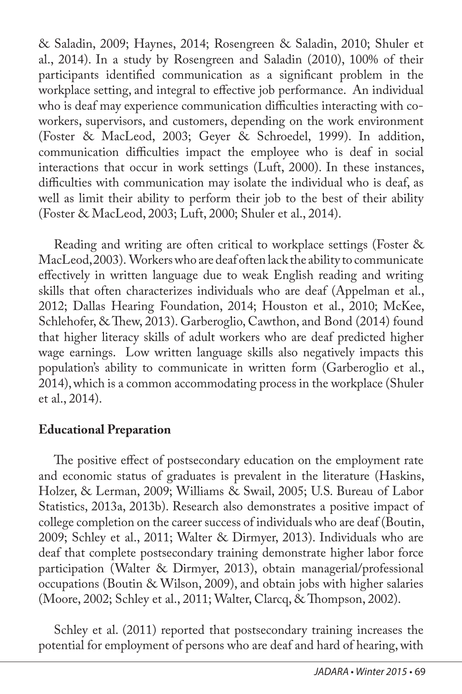& Saladin, 2009; Haynes, 2014; Rosengreen & Saladin, 2010; Shuler et al., 2014). In a study by Rosengreen and Saladin (2010), 100% of their participants identified communication as a significant problem in the workplace setting, and integral to effective job performance. An individual who is deaf may experience communication difficulties interacting with coworkers, supervisors, and customers, depending on the work environment (Foster & MacLeod, 2003; Geyer & Schroedel, 1999). In addition, communication difficulties impact the employee who is deaf in social interactions that occur in work settings (Luft, 2000). In these instances, difficulties with communication may isolate the individual who is deaf, as well as limit their ability to perform their job to the best of their ability (Foster & MacLeod, 2003; Luft, 2000; Shuler et al., 2014).

Reading and writing are often critical to workplace settings (Foster & MacLeod, 2003). Workers who are deaf often lack the ability to communicate effectively in written language due to weak English reading and writing skills that often characterizes individuals who are deaf (Appelman et al., 2012; Dallas Hearing Foundation, 2014; Houston et al., 2010; McKee, Schlehofer, & Thew, 2013). Garberoglio, Cawthon, and Bond (2014) found that higher literacy skills of adult workers who are deaf predicted higher wage earnings. Low written language skills also negatively impacts this population's ability to communicate in written form (Garberoglio et al., 2014), which is a common accommodating process in the workplace (Shuler et al., 2014).

## **Educational Preparation**

The positive effect of postsecondary education on the employment rate and economic status of graduates is prevalent in the literature (Haskins, Holzer, & Lerman, 2009; Williams & Swail, 2005; U.S. Bureau of Labor Statistics, 2013a, 2013b). Research also demonstrates a positive impact of college completion on the career success of individuals who are deaf (Boutin, 2009; Schley et al., 2011; Walter & Dirmyer, 2013). Individuals who are deaf that complete postsecondary training demonstrate higher labor force participation (Walter & Dirmyer, 2013), obtain managerial/professional occupations (Boutin & Wilson, 2009), and obtain jobs with higher salaries (Moore, 2002; Schley et al., 2011; Walter, Clarcq, & Thompson, 2002).

Schley et al. (2011) reported that postsecondary training increases the potential for employment of persons who are deaf and hard of hearing, with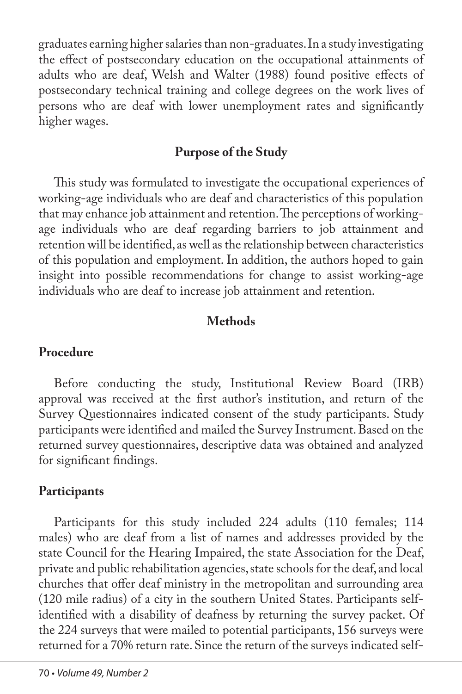graduates earning higher salaries than non-graduates. In a study investigating the effect of postsecondary education on the occupational attainments of adults who are deaf, Welsh and Walter (1988) found positive effects of postsecondary technical training and college degrees on the work lives of persons who are deaf with lower unemployment rates and significantly higher wages.

## **Purpose of the Study**

This study was formulated to investigate the occupational experiences of working-age individuals who are deaf and characteristics of this population that may enhance job attainment and retention. The perceptions of workingage individuals who are deaf regarding barriers to job attainment and retention will be identified, as well as the relationship between characteristics of this population and employment. In addition, the authors hoped to gain insight into possible recommendations for change to assist working-age individuals who are deaf to increase job attainment and retention.

## **Methods**

### **Procedure**

Before conducting the study, Institutional Review Board (IRB) approval was received at the first author's institution, and return of the Survey Questionnaires indicated consent of the study participants. Study participants were identified and mailed the Survey Instrument. Based on the returned survey questionnaires, descriptive data was obtained and analyzed for significant findings.

## **Participants**

Participants for this study included 224 adults (110 females; 114 males) who are deaf from a list of names and addresses provided by the state Council for the Hearing Impaired, the state Association for the Deaf, private and public rehabilitation agencies, state schools for the deaf, and local churches that offer deaf ministry in the metropolitan and surrounding area (120 mile radius) of a city in the southern United States. Participants selfidentified with a disability of deafness by returning the survey packet. Of the 224 surveys that were mailed to potential participants, 156 surveys were returned for a 70% return rate. Since the return of the surveys indicated self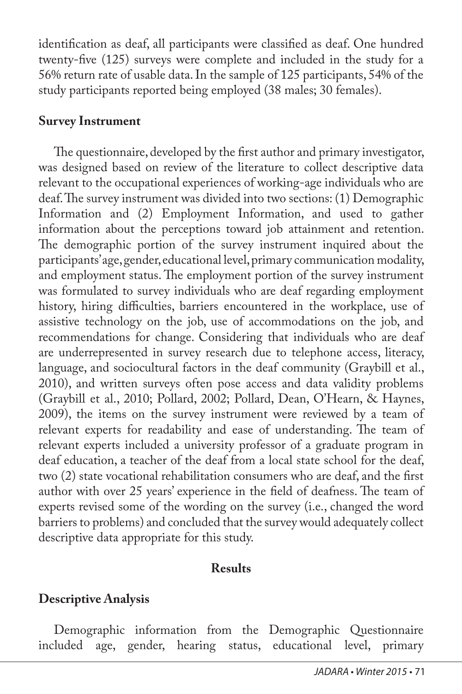identification as deaf, all participants were classified as deaf. One hundred twenty-five (125) surveys were complete and included in the study for a 56% return rate of usable data. In the sample of 125 participants, 54% of the study participants reported being employed (38 males; 30 females).

### **Survey Instrument**

The questionnaire, developed by the first author and primary investigator, was designed based on review of the literature to collect descriptive data relevant to the occupational experiences of working-age individuals who are deaf. The survey instrument was divided into two sections: (1) Demographic Information and (2) Employment Information, and used to gather information about the perceptions toward job attainment and retention. The demographic portion of the survey instrument inquired about the participants' age, gender, educational level, primary communication modality, and employment status. The employment portion of the survey instrument was formulated to survey individuals who are deaf regarding employment history, hiring difficulties, barriers encountered in the workplace, use of assistive technology on the job, use of accommodations on the job, and recommendations for change. Considering that individuals who are deaf are underrepresented in survey research due to telephone access, literacy, language, and sociocultural factors in the deaf community (Graybill et al., 2010), and written surveys often pose access and data validity problems (Graybill et al., 2010; Pollard, 2002; Pollard, Dean, O'Hearn, & Haynes, 2009), the items on the survey instrument were reviewed by a team of relevant experts for readability and ease of understanding. The team of relevant experts included a university professor of a graduate program in deaf education, a teacher of the deaf from a local state school for the deaf, two (2) state vocational rehabilitation consumers who are deaf, and the first author with over 25 years' experience in the field of deafness. The team of experts revised some of the wording on the survey (i.e., changed the word barriers to problems) and concluded that the survey would adequately collect descriptive data appropriate for this study.

## **Results**

# **Descriptive Analysis**

Demographic information from the Demographic Questionnaire included age, gender, hearing status, educational level, primary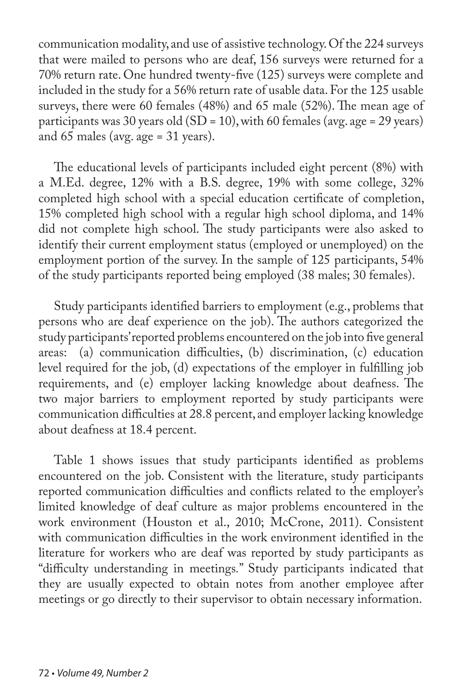communication modality, and use of assistive technology. Of the 224 surveys that were mailed to persons who are deaf, 156 surveys were returned for a 70% return rate. One hundred twenty-five (125) surveys were complete and included in the study for a 56% return rate of usable data. For the 125 usable surveys, there were 60 females (48%) and 65 male (52%). The mean age of participants was 30 years old (SD = 10), with 60 females (avg. age = 29 years) and 65 males (avg. age = 31 years).

The educational levels of participants included eight percent (8%) with a M.Ed. degree, 12% with a B.S. degree, 19% with some college, 32% completed high school with a special education certificate of completion, 15% completed high school with a regular high school diploma, and 14% did not complete high school. The study participants were also asked to identify their current employment status (employed or unemployed) on the employment portion of the survey. In the sample of 125 participants, 54% of the study participants reported being employed (38 males; 30 females).

Study participants identified barriers to employment (e.g., problems that persons who are deaf experience on the job). The authors categorized the study participants' reported problems encountered on the job into five general areas: (a) communication difficulties, (b) discrimination, (c) education level required for the job, (d) expectations of the employer in fulfilling job requirements, and (e) employer lacking knowledge about deafness. The two major barriers to employment reported by study participants were communication difficulties at 28.8 percent, and employer lacking knowledge about deafness at 18.4 percent.

Table 1 shows issues that study participants identified as problems encountered on the job. Consistent with the literature, study participants reported communication difficulties and conflicts related to the employer's limited knowledge of deaf culture as major problems encountered in the work environment (Houston et al., 2010; McCrone, 2011). Consistent with communication difficulties in the work environment identified in the literature for workers who are deaf was reported by study participants as "difficulty understanding in meetings*.*" Study participants indicated that they are usually expected to obtain notes from another employee after meetings or go directly to their supervisor to obtain necessary information.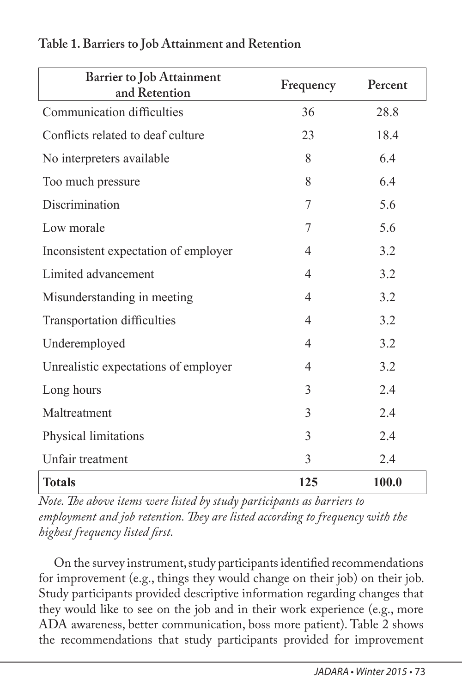| <b>Barrier to Job Attainment</b><br>and Retention | Frequency      | Percent |
|---------------------------------------------------|----------------|---------|
| Communication difficulties                        | 36             | 28.8    |
| Conflicts related to deaf culture                 | 23             | 18.4    |
| No interpreters available                         | 8              | 6.4     |
| Too much pressure                                 | 8              | 6.4     |
| Discrimination                                    | 7              | 5.6     |
| Low morale                                        | 7              | 5.6     |
| Inconsistent expectation of employer              | $\overline{4}$ | 3.2     |
| Limited advancement                               | 4              | 3.2     |
| Misunderstanding in meeting                       | $\overline{4}$ | 3.2     |
| <b>Transportation difficulties</b>                | $\overline{4}$ | 3.2     |
| Underemployed                                     | 4              | 3.2     |
| Unrealistic expectations of employer              | 4              | 3.2     |
| Long hours                                        | 3              | 2.4     |
| Maltreatment                                      | 3              | 2.4     |
| Physical limitations                              | 3              | 2.4     |
| Unfair treatment                                  | 3              | 2.4     |
| <b>Totals</b>                                     | 125            | 100.0   |

#### **Table 1. Barriers to Job Attainment and Retention**

*Note. The above items were listed by study participants as barriers to employment and job retention. They are listed according to frequency with the highest frequency listed first.* 

On the survey instrument, study participants identified recommendations for improvement (e.g., things they would change on their job) on their job. Study participants provided descriptive information regarding changes that they would like to see on the job and in their work experience (e.g., more ADA awareness, better communication, boss more patient). Table 2 shows the recommendations that study participants provided for improvement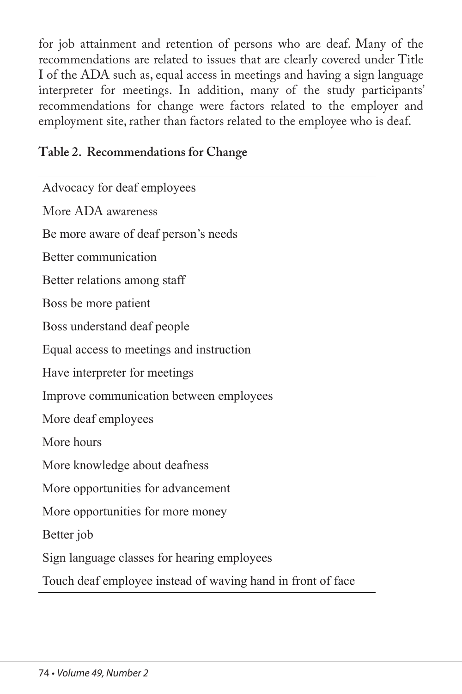for job attainment and retention of persons who are deaf. Many of the recommendations are related to issues that are clearly covered under Title I of the ADA such as, equal access in meetings and having a sign language interpreter for meetings. In addition, many of the study participants' recommendations for change were factors related to the employer and employment site, rather than factors related to the employee who is deaf.

## **Table 2. Recommendations for Change**

Advocacy for deaf employees More ADA awareness Be more aware of deaf person's needs Better communication Better relations among staff Boss be more patient Boss understand deaf people Equal access to meetings and instruction Have interpreter for meetings Improve communication between employees More deaf employees More hours More knowledge about deafness More opportunities for advancement More opportunities for more money Better job Sign language classes for hearing employees Touch deaf employee instead of waving hand in front of face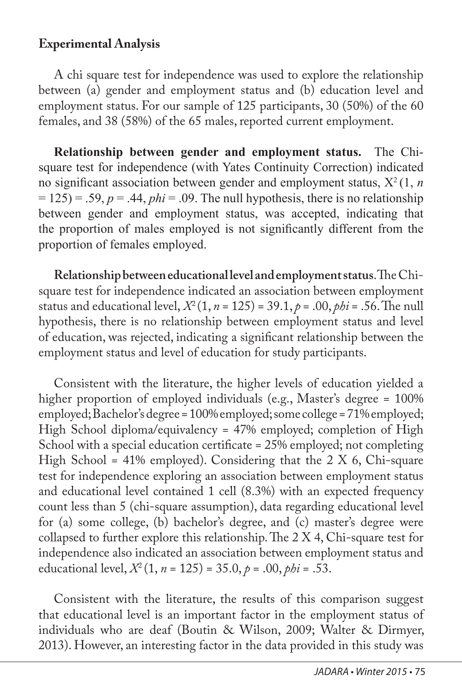### **Experimental Analysis**

A chi square test for independence was used to explore the relationship between (a) gender and employment status and (b) education level and employment status. For our sample of 125 participants, 30 (50%) of the 60 females, and 38 (58%) of the 65 males, reported current employment.

**Relationship between gender and employment status.** The Chisquare test for independence (with Yates Continuity Correction) indicated no significant association between gender and employment status, Χ<sup>2</sup>(1, *n*   $= 125$ ) = .59,  $p = .44$ ,  $phi = .09$ . The null hypothesis, there is no relationship between gender and employment status, was accepted, indicating that the proportion of males employed is not significantly different from the proportion of females employed.

**Relationship between educational level and employment status**. The Chisquare test for independence indicated an association between employment status and educational level,  $X^2(1, n = 125) = 39.1, p = .00, \rho bi = .56$ . The null hypothesis, there is no relationship between employment status and level of education, was rejected, indicating a significant relationship between the employment status and level of education for study participants.

Consistent with the literature, the higher levels of education yielded a higher proportion of employed individuals (e.g., Master's degree = 100% employed; Bachelor's degree = 100% employed; some college = 71% employed; High School diploma/equivalency = 47% employed; completion of High School with a special education certificate = 25% employed; not completing High School = 41% employed). Considering that the  $2 \text{ X } 6$ , Chi-square test for independence exploring an association between employment status and educational level contained 1 cell (8.3%) with an expected frequency count less than 5 (chi-square assumption), data regarding educational level for (a) some college, (b) bachelor's degree, and (c) master's degree were collapsed to further explore this relationship. The 2 X 4, Chi-square test for independence also indicated an association between employment status and educational level,  $X^2(1, n = 125) = 35.0, p = .00, \rho bi = .53$ .

Consistent with the literature, the results of this comparison suggest that educational level is an important factor in the employment status of individuals who are deaf (Boutin & Wilson, 2009; Walter & Dirmyer, 2013). However, an interesting factor in the data provided in this study was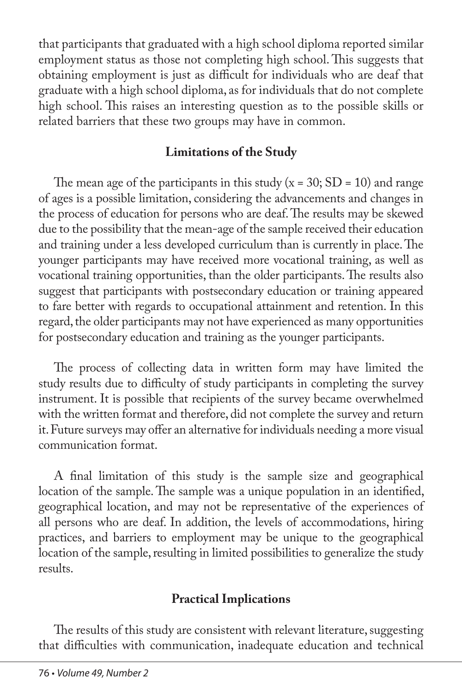that participants that graduated with a high school diploma reported similar employment status as those not completing high school. This suggests that obtaining employment is just as difficult for individuals who are deaf that graduate with a high school diploma, as for individuals that do not complete high school. This raises an interesting question as to the possible skills or related barriers that these two groups may have in common.

## **Limitations of the Study**

The mean age of the participants in this study  $(x = 30; SD = 10)$  and range of ages is a possible limitation, considering the advancements and changes in the process of education for persons who are deaf. The results may be skewed due to the possibility that the mean-age of the sample received their education and training under a less developed curriculum than is currently in place. The younger participants may have received more vocational training, as well as vocational training opportunities, than the older participants. The results also suggest that participants with postsecondary education or training appeared to fare better with regards to occupational attainment and retention. In this regard, the older participants may not have experienced as many opportunities for postsecondary education and training as the younger participants.

The process of collecting data in written form may have limited the study results due to difficulty of study participants in completing the survey instrument. It is possible that recipients of the survey became overwhelmed with the written format and therefore, did not complete the survey and return it. Future surveys may offer an alternative for individuals needing a more visual communication format.

A final limitation of this study is the sample size and geographical location of the sample. The sample was a unique population in an identified, geographical location, and may not be representative of the experiences of all persons who are deaf. In addition, the levels of accommodations, hiring practices, and barriers to employment may be unique to the geographical location of the sample, resulting in limited possibilities to generalize the study results.

# **Practical Implications**

The results of this study are consistent with relevant literature, suggesting that difficulties with communication, inadequate education and technical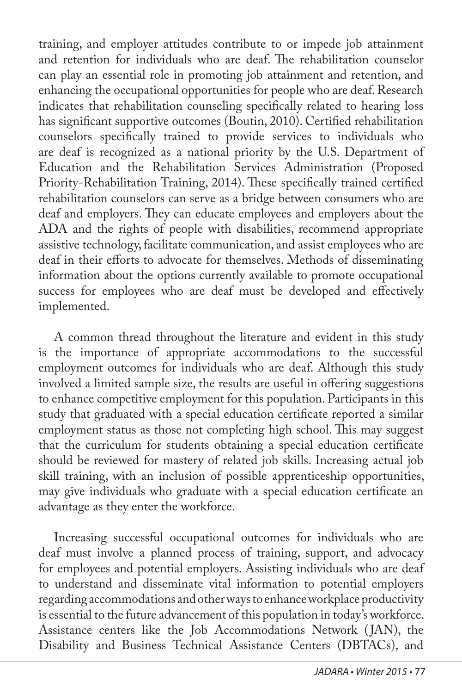training, and employer attitudes contribute to or impede job attainment and retention for individuals who are deaf. The rehabilitation counselor can play an essential role in promoting job attainment and retention, and enhancing the occupational opportunities for people who are deaf. Research indicates that rehabilitation counseling specifically related to hearing loss has significant supportive outcomes (Boutin, 2010). Certified rehabilitation counselors specifically trained to provide services to individuals who are deaf is recognized as a national priority by the U.S. Department of Education and the Rehabilitation Services Administration (Proposed Priority-Rehabilitation Training, 2014). These specifically trained certified rehabilitation counselors can serve as a bridge between consumers who are deaf and employers. They can educate employees and employers about the ADA and the rights of people with disabilities, recommend appropriate assistive technology, facilitate communication, and assist employees who are deaf in their efforts to advocate for themselves. Methods of disseminating information about the options currently available to promote occupational success for employees who are deaf must be developed and effectively implemented.

A common thread throughout the literature and evident in this study is the importance of appropriate accommodations to the successful employment outcomes for individuals who are deaf. Although this study involved a limited sample size, the results are useful in offering suggestions to enhance competitive employment for this population. Participants in this study that graduated with a special education certificate reported a similar employment status as those not completing high school. This may suggest that the curriculum for students obtaining a special education certificate should be reviewed for mastery of related job skills. Increasing actual job skill training, with an inclusion of possible apprenticeship opportunities, may give individuals who graduate with a special education certificate an advantage as they enter the workforce.

Increasing successful occupational outcomes for individuals who are deaf must involve a planned process of training, support, and advocacy for employees and potential employers. Assisting individuals who are deaf to understand and disseminate vital information to potential employers regarding accommodations and other ways to enhance workplace productivity is essential to the future advancement of this population in today's workforce. Assistance centers like the Job Accommodations Network ( JAN), the Disability and Business Technical Assistance Centers (DBTACs), and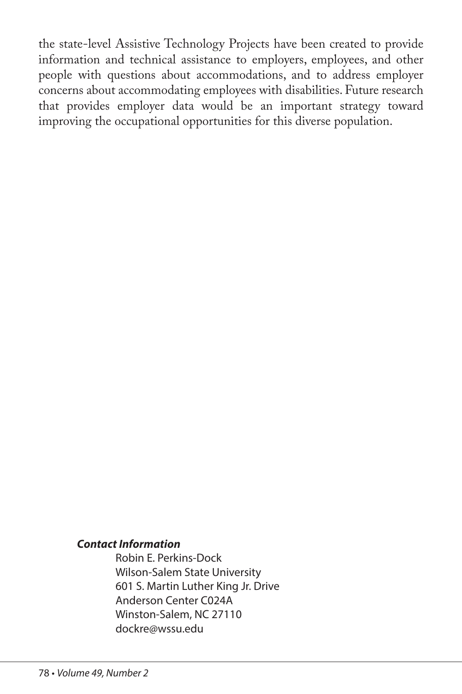the state-level Assistive Technology Projects have been created to provide information and technical assistance to employers, employees, and other people with questions about accommodations, and to address employer concerns about accommodating employees with disabilities. Future research that provides employer data would be an important strategy toward improving the occupational opportunities for this diverse population.

#### *Contact Information*

Robin E. Perkins-Dock Wilson-Salem State University 601 S. Martin Luther King Jr. Drive Anderson Center C024A Winston-Salem, NC 27110 dockre@wssu.edu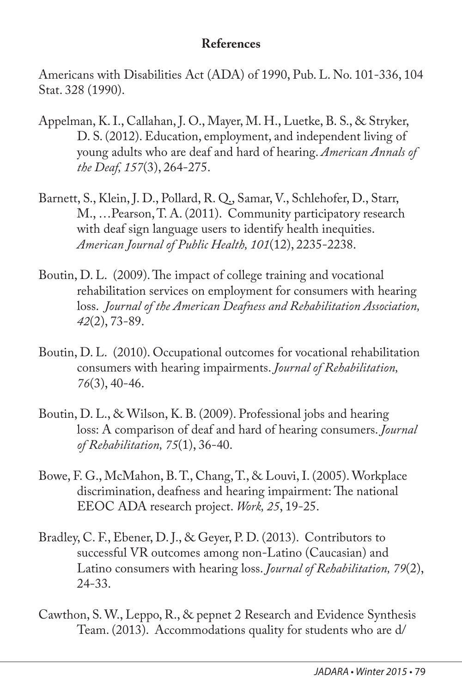## **References**

Americans with Disabilities Act (ADA) of 1990, Pub. L. No. 101-336, 104 Stat. 328 (1990).

- Appelman, K. I., Callahan, J. O., Mayer, M. H., Luetke, B. S., & Stryker, D. S. (2012). Education, employment, and independent living of young adults who are deaf and hard of hearing. *American Annals of the Deaf, 157*(3), 264-275.
- Barnett, S., Klein, J. D., Pollard, R. Q., Samar, V., Schlehofer, D., Starr, M., …Pearson, T. A. (2011). Community participatory research with deaf sign language users to identify health inequities. *American Journal of Public Health, 101*(12), 2235-2238.
- Boutin, D. L. (2009). The impact of college training and vocational rehabilitation services on employment for consumers with hearing loss. *Journal of the American Deafness and Rehabilitation Association, 42*(2), 73-89.
- Boutin, D. L. (2010). Occupational outcomes for vocational rehabilitation consumers with hearing impairments. *Journal of Rehabilitation, 76*(3), 40-46.
- Boutin, D. L., & Wilson, K. B. (2009). Professional jobs and hearing loss: A comparison of deaf and hard of hearing consumers. *Journal of Rehabilitation, 75*(1), 36-40.
- Bowe, F. G., McMahon, B. T., Chang, T., & Louvi, I. (2005). Workplace discrimination, deafness and hearing impairment: The national EEOC ADA research project. *Work, 25*, 19-25.
- Bradley, C. F., Ebener, D. J., & Geyer, P. D. (2013). Contributors to successful VR outcomes among non-Latino (Caucasian) and Latino consumers with hearing loss. *Journal of Rehabilitation, 79*(2), 24-33.
- Cawthon, S. W., Leppo, R., & pepnet 2 Research and Evidence Synthesis Team. (2013). Accommodations quality for students who are d/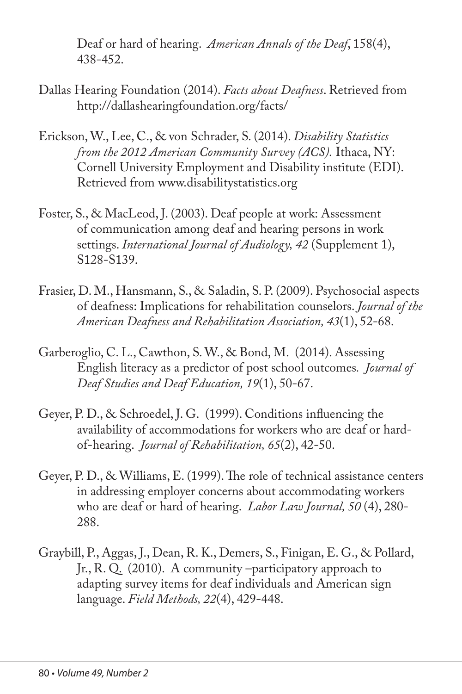Deaf or hard of hearing. *American Annals of the Deaf*, 158(4), 438-452.

- Dallas Hearing Foundation (2014). *Facts about Deafness*. Retrieved from http://dallashearingfoundation.org/facts/
- Erickson, W., Lee, C., & von Schrader, S. (2014). *Disability Statistics from the 2012 American Community Survey (ACS).* Ithaca, NY: Cornell University Employment and Disability institute (EDI). Retrieved from www.disabilitystatistics.org
- Foster, S., & MacLeod, J. (2003). Deaf people at work: Assessment of communication among deaf and hearing persons in work settings. *International Journal of Audiology, 42* (Supplement 1), S128-S139.
- Frasier, D. M., Hansmann, S., & Saladin, S. P. (2009). Psychosocial aspects of deafness: Implications for rehabilitation counselors. *Journal of the American Deafness and Rehabilitation Association, 43*(1), 52-68.
- Garberoglio, C. L., Cawthon, S. W., & Bond, M. (2014). Assessing English literacy as a predictor of post school outcomes*. Journal of Deaf Studies and Deaf Education, 19*(1), 50-67.
- Geyer, P. D., & Schroedel, J. G. (1999). Conditions influencing the availability of accommodations for workers who are deaf or hardof-hearing. *Journal of Rehabilitation, 65*(2), 42-50.
- Geyer, P. D., & Williams, E. (1999). The role of technical assistance centers in addressing employer concerns about accommodating workers who are deaf or hard of hearing. *Labor Law Journal, 50* (4), 280- 288.
- Graybill, P., Aggas, J., Dean, R. K., Demers, S., Finigan, E. G., & Pollard, Jr., R. Q. (2010). A community –participatory approach to adapting survey items for deaf individuals and American sign language. *Field Methods, 22*(4), 429-448.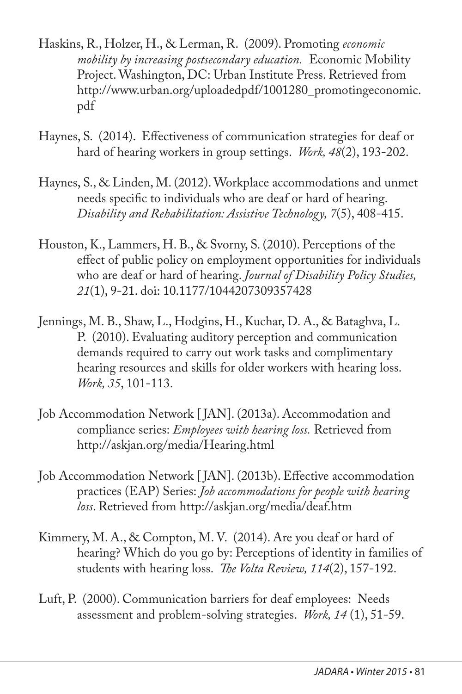- Haskins, R., Holzer, H., & Lerman, R. (2009). Promoting *economic mobility by increasing postsecondary education.* Economic Mobility Project. Washington, DC: Urban Institute Press. Retrieved from http://www.urban.org/uploadedpdf/1001280\_promotingeconomic. pdf
- Haynes, S. (2014). Effectiveness of communication strategies for deaf or hard of hearing workers in group settings. *Work, 48*(2), 193-202.
- Haynes, S., & Linden, M. (2012). Workplace accommodations and unmet needs specific to individuals who are deaf or hard of hearing. *Disability and Rehabilitation: Assistive Technology, 7*(5), 408-415.
- Houston, K., Lammers, H. B., & Svorny, S. (2010). Perceptions of the effect of public policy on employment opportunities for individuals who are deaf or hard of hearing. *Journal of Disability Policy Studies, 21*(1), 9-21. doi: 10.1177/1044207309357428
- Jennings, M. B., Shaw, L., Hodgins, H., Kuchar, D. A., & Bataghva, L. P. (2010). Evaluating auditory perception and communication demands required to carry out work tasks and complimentary hearing resources and skills for older workers with hearing loss. *Work, 35*, 101-113.
- Job Accommodation Network [ JAN]. (2013a). Accommodation and compliance series: *Employees with hearing loss.* Retrieved from http://askjan.org/media/Hearing.html
- Job Accommodation Network [ JAN]. (2013b). Effective accommodation practices (EAP) Series: *Job accommodations for people with hearing loss*. Retrieved from http://askjan.org/media/deaf.htm
- Kimmery, M. A., & Compton, M. V. (2014). Are you deaf or hard of hearing? Which do you go by: Perceptions of identity in families of students with hearing loss. *The Volta Review, 114*(2), 157-192.
- Luft, P. (2000). Communication barriers for deaf employees: Needs assessment and problem-solving strategies. *Work, 14* (1), 51-59.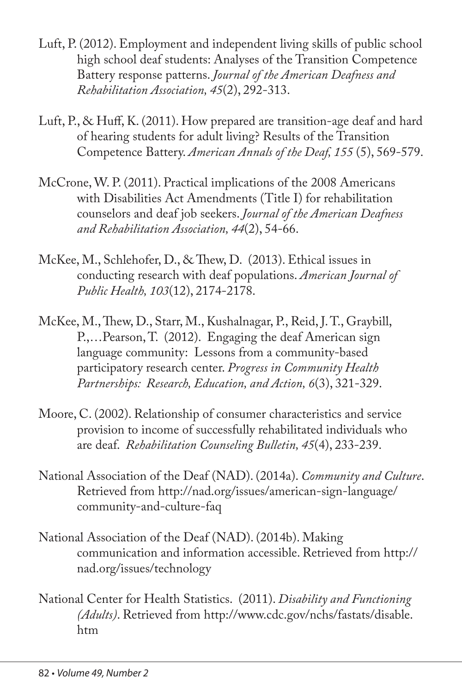- Luft, P. (2012). Employment and independent living skills of public school high school deaf students: Analyses of the Transition Competence Battery response patterns. *Journal of the American Deafness and Rehabilitation Association, 45*(2), 292-313.
- Luft, P., & Huff, K. (2011). How prepared are transition-age deaf and hard of hearing students for adult living? Results of the Transition Competence Battery. *American Annals of the Deaf, 155* (5), 569-579.
- McCrone, W. P. (2011). Practical implications of the 2008 Americans with Disabilities Act Amendments (Title I) for rehabilitation counselors and deaf job seekers. *Journal of the American Deafness and Rehabilitation Association, 44*(2), 54-66.
- McKee, M., Schlehofer, D., & Thew, D. (2013). Ethical issues in conducting research with deaf populations. *American Journal of Public Health, 103*(12), 2174-2178.
- McKee, M., Thew, D., Starr, M., Kushalnagar, P., Reid, J. T., Graybill, P.,…Pearson, T. (2012). Engaging the deaf American sign language community: Lessons from a community-based participatory research center. *Progress in Community Health Partnerships: Research, Education, and Action, 6*(3), 321-329.
- Moore, C. (2002). Relationship of consumer characteristics and service provision to income of successfully rehabilitated individuals who are deaf. *Rehabilitation Counseling Bulletin, 45*(4), 233-239.
- National Association of the Deaf (NAD). (2014a). *Community and Culture*. Retrieved from http://nad.org/issues/american-sign-language/ community-and-culture-faq
- National Association of the Deaf (NAD). (2014b). Making communication and information accessible. Retrieved from http:// nad.org/issues/technology
- National Center for Health Statistics. (2011). *Disability and Functioning (Adults)*. Retrieved from http://www.cdc.gov/nchs/fastats/disable. htm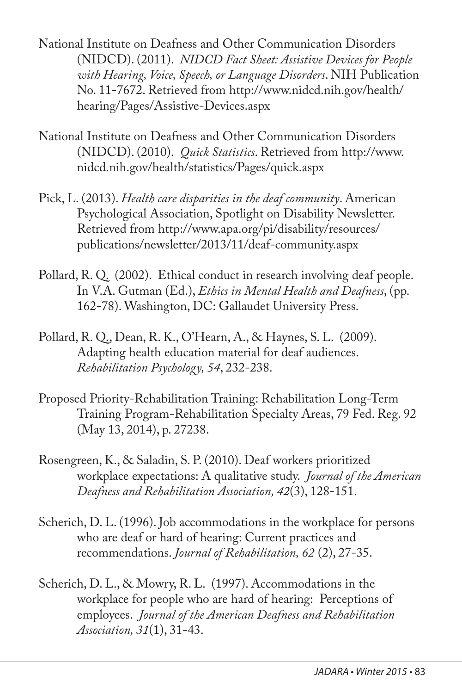National Institute on Deafness and Other Communication Disorders (NIDCD). (2011). *NIDCD Fact Sheet: Assistive Devices for People with Hearing, Voice, Speech, or Language Disorders*. NIH Publication No. 11-7672. Retrieved from http://www.nidcd.nih.gov/health/ hearing/Pages/Assistive-Devices.aspx

- National Institute on Deafness and Other Communication Disorders (NIDCD). (2010). *Quick Statistics*. Retrieved from http://www. nidcd.nih.gov/health/statistics/Pages/quick.aspx
- Pick, L. (2013). *Health care disparities in the deaf community*. American Psychological Association, Spotlight on Disability Newsletter. Retrieved from http://www.apa.org/pi/disability/resources/ publications/newsletter/2013/11/deaf-community.aspx
- Pollard, R. Q. (2002). Ethical conduct in research involving deaf people. In V.A. Gutman (Ed.), *Ethics in Mental Health and Deafness*, (pp. 162-78). Washington, DC: Gallaudet University Press.
- Pollard, R. Q., Dean, R. K., O'Hearn, A., & Haynes, S. L. (2009). Adapting health education material for deaf audiences. *Rehabilitation Psychology, 54*, 232-238.
- Proposed Priority-Rehabilitation Training: Rehabilitation Long-Term Training Program-Rehabilitation Specialty Areas, 79 Fed. Reg. 92 (May 13, 2014), p. 27238.
- Rosengreen, K., & Saladin, S. P. (2010). Deaf workers prioritized workplace expectations: A qualitative study. *Journal of the American Deafness and Rehabilitation Association, 42*(3), 128-151.
- Scherich, D. L. (1996). Job accommodations in the workplace for persons who are deaf or hard of hearing: Current practices and recommendations. *Journal of Rehabilitation, 62* (2), 27-35.
- Scherich, D. L., & Mowry, R. L. (1997). Accommodations in the workplace for people who are hard of hearing: Perceptions of employees. *Journal of the American Deafness and Rehabilitation Association, 31*(1), 31-43.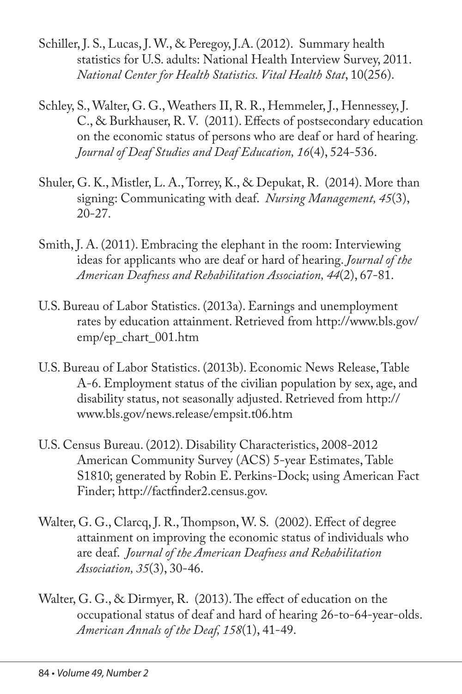- Schiller, J. S., Lucas, J. W., & Peregoy, J.A. (2012). Summary health statistics for U.S. adults: National Health Interview Survey, 2011. *National Center for Health Statistics. Vital Health Stat*, 10(256).
- Schley, S., Walter, G. G., Weathers II, R. R., Hemmeler, J., Hennessey, J. C., & Burkhauser, R. V. (2011). Effects of postsecondary education on the economic status of persons who are deaf or hard of hearing*. Journal of Deaf Studies and Deaf Education, 16*(4), 524-536.
- Shuler, G. K., Mistler, L. A., Torrey, K., & Depukat, R. (2014). More than signing: Communicating with deaf. *Nursing Management, 45*(3), 20-27.
- Smith, J. A. (2011). Embracing the elephant in the room: Interviewing ideas for applicants who are deaf or hard of hearing. *Journal of the American Deafness and Rehabilitation Association, 44*(2), 67-81.
- U.S. Bureau of Labor Statistics. (2013a). Earnings and unemployment rates by education attainment. Retrieved from http://www.bls.gov/ emp/ep\_chart\_001.htm
- U.S. Bureau of Labor Statistics. (2013b). Economic News Release, Table A-6. Employment status of the civilian population by sex, age, and disability status, not seasonally adjusted. Retrieved from http:// www.bls.gov/news.release/empsit.t06.htm
- U.S. Census Bureau. (2012). Disability Characteristics, 2008-2012 American Community Survey (ACS) 5-year Estimates, Table S1810; generated by Robin E. Perkins-Dock; using American Fact Finder; http://factfinder2.census.gov.
- Walter, G. G., Clarcq, J. R., Thompson, W. S. (2002). Effect of degree attainment on improving the economic status of individuals who are deaf. *Journal of the American Deafness and Rehabilitation Association, 35*(3), 30-46.
- Walter, G. G., & Dirmyer, R. (2013). The effect of education on the occupational status of deaf and hard of hearing 26-to-64-year-olds. *American Annals of the Deaf, 158*(1), 41-49.